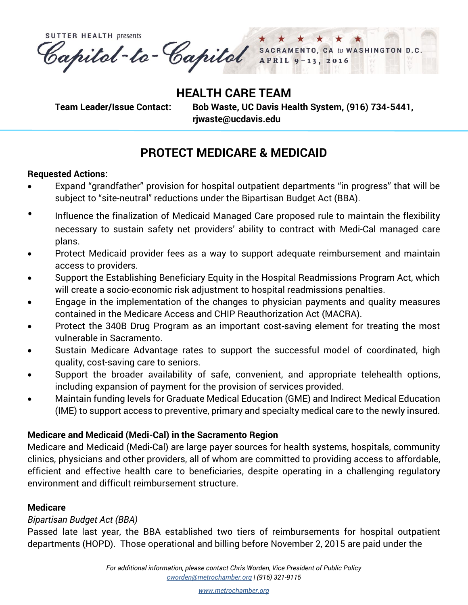**SUTTER HEALTH presents** Capital-ta-Capital SACRAMENTO, CA to WASHINGTON D.C. APRIL<sub>9</sub>  $-13, 2016$ 

**HEALTH CARE TEAM**

**Team Leader/Issue Contact: Bob Waste, UC Davis Health System, (916) 734-5441, rjwaste@ucdavis.edu** 

# **PROTECT MEDICARE & MEDICAID**

## **Requested Actions:**

- Expand "grandfather" provision for hospital outpatient departments "in progress" that will be subject to "site-neutral" reductions under the Bipartisan Budget Act (BBA).
- Influence the finalization of Medicaid Managed Care proposed rule to maintain the flexibility necessary to sustain safety net providers' ability to contract with Medi-Cal managed care plans.
- Protect Medicaid provider fees as a way to support adequate reimbursement and maintain access to providers.
- Support the Establishing Beneficiary Equity in the Hospital Readmissions Program Act, which will create a socio-economic risk adjustment to hospital readmissions penalties.
- Engage in the implementation of the changes to physician payments and quality measures contained in the Medicare Access and CHIP Reauthorization Act (MACRA).
- Protect the 340B Drug Program as an important cost-saving element for treating the most vulnerable in Sacramento.
- Sustain Medicare Advantage rates to support the successful model of coordinated, high quality, cost-saving care to seniors.
- Support the broader availability of safe, convenient, and appropriate telehealth options, including expansion of payment for the provision of services provided.
- Maintain funding levels for Graduate Medical Education (GME) and Indirect Medical Education (IME) to support access to preventive, primary and specialty medical care to the newly insured.

# **Medicare and Medicaid (Medi-Cal) in the Sacramento Region**

Medicare and Medicaid (Medi-Cal) are large payer sources for health systems, hospitals, community clinics, physicians and other providers, all of whom are committed to providing access to affordable, efficient and effective health care to beneficiaries, despite operating in a challenging regulatory environment and difficult reimbursement structure.

# **Medicare**

# *Bipartisan Budget Act (BBA)*

Passed late last year, the BBA established two tiers of reimbursements for hospital outpatient departments (HOPD). Those operational and billing before November 2, 2015 are paid under the

> *For additional information, please contact Chris Worden, Vice President of Public Policy [cworden@metrochamber.org](mailto:cworden@metrochamber.org) | (916) 321-9115*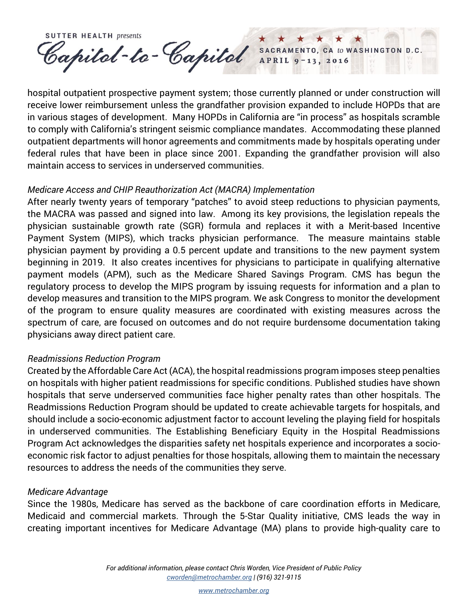**SUTTER HEALTH presents** Capital-te-Capital SACRAMENTO, CA to WASHINGTON D.C.

hospital outpatient prospective payment system; those currently planned or under construction will receive lower reimbursement unless the grandfather provision expanded to include HOPDs that are in various stages of development. Many HOPDs in California are "in process" as hospitals scramble to comply with California's stringent seismic compliance mandates. Accommodating these planned outpatient departments will honor agreements and commitments made by hospitals operating under federal rules that have been in place since 2001. Expanding the grandfather provision will also maintain access to services in underserved communities.

#### *Medicare Access and CHIP Reauthorization Act (MACRA) Implementation*

After nearly twenty years of temporary "patches" to avoid steep reductions to physician payments, the MACRA was passed and signed into law. Among its key provisions, the legislation repeals the physician sustainable growth rate (SGR) formula and replaces it with a Merit-based Incentive Payment System (MIPS), which tracks physician performance. The measure maintains stable physician payment by providing a 0.5 percent update and transitions to the new payment system beginning in 2019. It also creates incentives for physicians to participate in qualifying alternative payment models (APM), such as the Medicare Shared Savings Program. CMS has begun the regulatory process to develop the MIPS program by issuing requests for information and a plan to develop measures and transition to the MIPS program. We ask Congress to monitor the development of the program to ensure quality measures are coordinated with existing measures across the spectrum of care, are focused on outcomes and do not require burdensome documentation taking physicians away direct patient care.

#### *Readmissions Reduction Program*

Created by the Affordable Care Act (ACA), the hospital readmissions program imposes steep penalties on hospitals with higher patient readmissions for specific conditions. Published studies have shown hospitals that serve underserved communities face higher penalty rates than other hospitals. The Readmissions Reduction Program should be updated to create achievable targets for hospitals, and should include a socio-economic adjustment factor to account leveling the playing field for hospitals in underserved communities. The Establishing Beneficiary Equity in the Hospital Readmissions Program Act acknowledges the disparities safety net hospitals experience and incorporates a socioeconomic risk factor to adjust penalties for those hospitals, allowing them to maintain the necessary resources to address the needs of the communities they serve.

#### *Medicare Advantage*

Since the 1980s, Medicare has served as the backbone of care coordination efforts in Medicare, Medicaid and commercial markets. Through the 5-Star Quality initiative, CMS leads the way in creating important incentives for Medicare Advantage (MA) plans to provide high-quality care to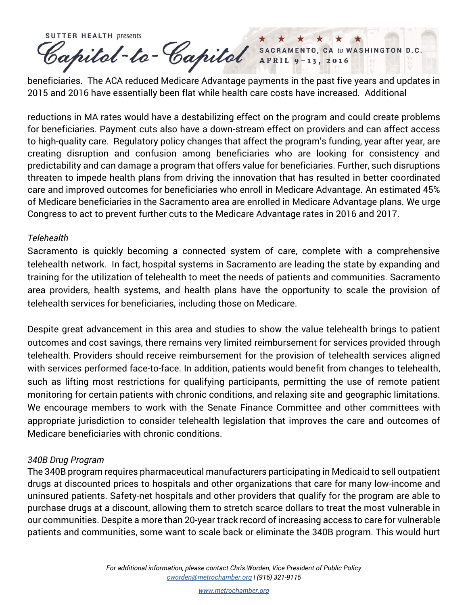**SUTTER HEALTH presents** Capital-ta-Capital SACRAMENTO, CA to WASHINGTON D.C.

beneficiaries. The ACA reduced Medicare Advantage payments in the past five years and updates in 2015 and 2016 have essentially been flat while health care costs have increased. Additional

reductions in MA rates would have a destabilizing effect on the program and could create problems for beneficiaries. Payment cuts also have a down-stream effect on providers and can affect access to high-quality care. Regulatory policy changes that affect the program's funding, year after year, are creating disruption and confusion among beneficiaries who are looking for consistency and predictability and can damage a program that offers value for beneficiaries. Further, such disruptions threaten to impede health plans from driving the innovation that has resulted in better coordinated care and improved outcomes for beneficiaries who enroll in Medicare Advantage. An estimated 45% of Medicare beneficiaries in the Sacramento area are enrolled in Medicare Advantage plans. We urge Congress to act to prevent further cuts to the Medicare Advantage rates in 2016 and 2017.

#### *Telehealth*

Sacramento is quickly becoming a connected system of care, complete with a comprehensive telehealth network. In fact, hospital systems in Sacramento are leading the state by expanding and training for the utilization of telehealth to meet the needs of patients and communities. Sacramento area providers, health systems, and health plans have the opportunity to scale the provision of telehealth services for beneficiaries, including those on Medicare.

Despite great advancement in this area and studies to show the value telehealth brings to patient outcomes and cost savings, there remains very limited reimbursement for services provided through telehealth. Providers should receive reimbursement for the provision of telehealth services aligned with services performed face-to-face. In addition, patients would benefit from changes to telehealth, such as lifting most restrictions for qualifying participants, permitting the use of remote patient monitoring for certain patients with chronic conditions, and relaxing site and geographic limitations. We encourage members to work with the Senate Finance Committee and other committees with appropriate jurisdiction to consider telehealth legislation that improves the care and outcomes of Medicare beneficiaries with chronic conditions.

## *340B Drug Program*

The 340B program requires pharmaceutical manufacturers participating in Medicaid to sell outpatient drugs at discounted prices to hospitals and other organizations that care for many low-income and uninsured patients. Safety-net hospitals and other providers that qualify for the program are able to purchase drugs at a discount, allowing them to stretch scarce dollars to treat the most vulnerable in our communities. Despite a more than 20-year track record of increasing access to care for vulnerable patients and communities, some want to scale back or eliminate the 340B program. This would hurt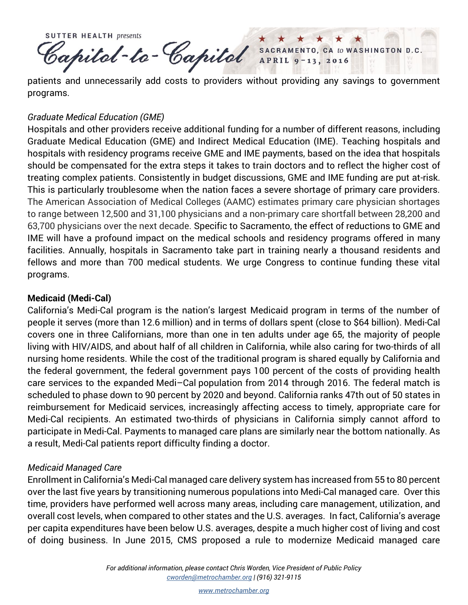**SUTTER HEALTH presents** Papitol-to-Capitol SACRAMENTO, CA to WASHINGTON D.C.

patients and unnecessarily add costs to providers without providing any savings to government programs.

## *Graduate Medical Education (GME)*

Hospitals and other providers receive additional funding for a number of different reasons, including Graduate Medical Education (GME) and Indirect Medical Education (IME). Teaching hospitals and hospitals with residency programs receive GME and IME payments, based on the idea that hospitals should be compensated for the extra steps it takes to train doctors and to reflect the higher cost of treating complex patients. Consistently in budget discussions, GME and IME funding are put at-risk. This is particularly troublesome when the nation faces a severe shortage of primary care providers. The American Association of Medical Colleges (AAMC) estimates primary care physician shortages to range between 12,500 and 31,100 physicians and a non-primary care shortfall between 28,200 and 63,700 physicians over the next decade. Specific to Sacramento, the effect of reductions to GME and IME will have a profound impact on the medical schools and residency programs offered in many facilities. Annually, hospitals in Sacramento take part in training nearly a thousand residents and fellows and more than 700 medical students. We urge Congress to continue funding these vital programs.

# **Medicaid (Medi-Cal)**

California's Medi-Cal program is the nation's largest Medicaid program in terms of the number of people it serves (more than 12.6 million) and in terms of dollars spent (close to \$64 billion). Medi-Cal covers one in three Californians, more than one in ten adults under age 65, the majority of people living with HIV/AIDS, and about half of all children in California, while also caring for two-thirds of all nursing home residents. While the cost of the traditional program is shared equally by California and the federal government, the federal government pays 100 percent of the costs of providing health care services to the expanded Medi–Cal population from 2014 through 2016. The federal match is scheduled to phase down to 90 percent by 2020 and beyond. California ranks 47th out of 50 states in reimbursement for Medicaid services, increasingly affecting access to timely, appropriate care for Medi-Cal recipients. An estimated two-thirds of physicians in California simply cannot afford to participate in Medi-Cal. Payments to managed care plans are similarly near the bottom nationally. As a result, Medi-Cal patients report difficulty finding a doctor.

## *Medicaid Managed Care*

Enrollment in California's Medi-Cal managed care delivery system has increased from 55 to 80 percent over the last five years by transitioning numerous populations into Medi-Cal managed care. Over this time, providers have performed well across many areas, including care management, utilization, and overall cost levels, when compared to other states and the U.S. averages. In fact, California's average per capita expenditures have been below U.S. averages, despite a much higher cost of living and cost of doing business. In June 2015, CMS proposed a rule to modernize Medicaid managed care